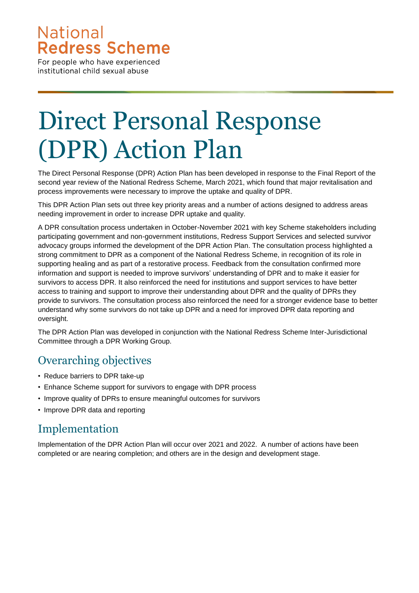## **National Redress Scheme**

For people who have experienced institutional child sexual abuse

## Direct Personal Response (DPR) Action Plan

The Direct Personal Response (DPR) Action Plan has been developed in response to the Final Report of the second year review of the National Redress Scheme, March 2021, which found that major revitalisation and process improvements were necessary to improve the uptake and quality of DPR.

This DPR Action Plan sets out three key priority areas and a number of actions designed to address areas needing improvement in order to increase DPR uptake and quality.

A DPR consultation process undertaken in October-November 2021 with key Scheme stakeholders including participating government and non-government institutions, Redress Support Services and selected survivor advocacy groups informed the development of the DPR Action Plan. The consultation process highlighted a strong commitment to DPR as a component of the National Redress Scheme, in recognition of its role in supporting healing and as part of a restorative process. Feedback from the consultation confirmed more information and support is needed to improve survivors' understanding of DPR and to make it easier for survivors to access DPR. It also reinforced the need for institutions and support services to have better access to training and support to improve their understanding about DPR and the quality of DPRs they provide to survivors. The consultation process also reinforced the need for a stronger evidence base to better understand why some survivors do not take up DPR and a need for improved DPR data reporting and oversight.

The DPR Action Plan was developed in conjunction with the National Redress Scheme Inter-Jurisdictional Committee through a DPR Working Group.

## Overarching objectives

- Reduce barriers to DPR take-up
- Enhance Scheme support for survivors to engage with DPR process
- Improve quality of DPRs to ensure meaningful outcomes for survivors
- Improve DPR data and reporting

## Implementation

Implementation of the DPR Action Plan will occur over 2021 and 2022. A number of actions have been completed or are nearing completion; and others are in the design and development stage.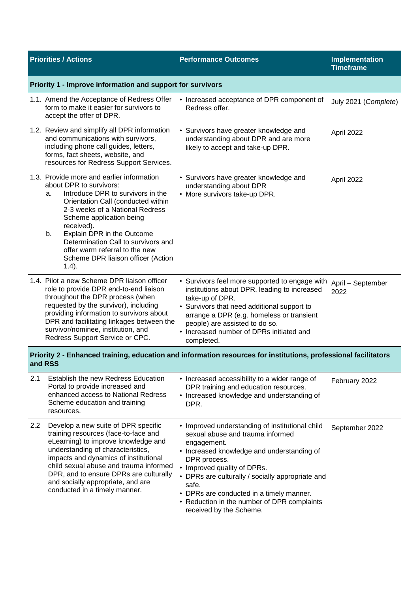| <b>Priorities / Actions</b>                                                                                                |                                                                                                                                                                                                                                                                                                                                                                           | <b>Performance Outcomes</b>                                                                                                                                                                                                                                                                                                                                                        | Implementation<br><b>Timeframe</b> |  |  |
|----------------------------------------------------------------------------------------------------------------------------|---------------------------------------------------------------------------------------------------------------------------------------------------------------------------------------------------------------------------------------------------------------------------------------------------------------------------------------------------------------------------|------------------------------------------------------------------------------------------------------------------------------------------------------------------------------------------------------------------------------------------------------------------------------------------------------------------------------------------------------------------------------------|------------------------------------|--|--|
| Priority 1 - Improve information and support for survivors                                                                 |                                                                                                                                                                                                                                                                                                                                                                           |                                                                                                                                                                                                                                                                                                                                                                                    |                                    |  |  |
|                                                                                                                            | 1.1. Amend the Acceptance of Redress Offer<br>form to make it easier for survivors to<br>accept the offer of DPR.                                                                                                                                                                                                                                                         | • Increased acceptance of DPR component of<br>Redress offer.                                                                                                                                                                                                                                                                                                                       | July 2021 (Complete)               |  |  |
|                                                                                                                            | 1.2. Review and simplify all DPR information<br>and communications with survivors,<br>including phone call guides, letters,<br>forms, fact sheets, website, and<br>resources for Redress Support Services.                                                                                                                                                                | • Survivors have greater knowledge and<br>understanding about DPR and are more<br>likely to accept and take-up DPR.                                                                                                                                                                                                                                                                | April 2022                         |  |  |
| a.<br>b.<br>$1.4$ ).                                                                                                       | 1.3. Provide more and earlier information<br>about DPR to survivors:<br>Introduce DPR to survivors in the<br>Orientation Call (conducted within<br>2-3 weeks of a National Redress<br>Scheme application being<br>received).<br>Explain DPR in the Outcome<br>Determination Call to survivors and<br>offer warm referral to the new<br>Scheme DPR liaison officer (Action | • Survivors have greater knowledge and<br>understanding about DPR<br>• More survivors take-up DPR.                                                                                                                                                                                                                                                                                 | April 2022                         |  |  |
|                                                                                                                            | 1.4. Pilot a new Scheme DPR liaison officer<br>role to provide DPR end-to-end liaison<br>throughout the DPR process (when<br>requested by the survivor), including<br>providing information to survivors about<br>DPR and facilitating linkages between the<br>survivor/nominee, institution, and<br>Redress Support Service or CPC.                                      | • Survivors feel more supported to engage with<br>institutions about DPR, leading to increased<br>take-up of DPR.<br>• Survivors that need additional support to<br>arrange a DPR (e.g. homeless or transient<br>people) are assisted to do so.<br>• Increased number of DPRs initiated and<br>completed.                                                                          | April - September<br>2022          |  |  |
| Priority 2 - Enhanced training, education and information resources for institutions, professional facilitators<br>and RSS |                                                                                                                                                                                                                                                                                                                                                                           |                                                                                                                                                                                                                                                                                                                                                                                    |                                    |  |  |
| 2.1<br>resources.                                                                                                          | Establish the new Redress Education<br>Portal to provide increased and<br>enhanced access to National Redress<br>Scheme education and training                                                                                                                                                                                                                            | • Increased accessibility to a wider range of<br>DPR training and education resources.<br>• Increased knowledge and understanding of<br>DPR.                                                                                                                                                                                                                                       | February 2022                      |  |  |
| $2.2^{\circ}$                                                                                                              | Develop a new suite of DPR specific<br>training resources (face-to-face and<br>eLearning) to improve knowledge and<br>understanding of characteristics,<br>impacts and dynamics of institutional<br>child sexual abuse and trauma informed<br>DPR, and to ensure DPRs are culturally<br>and socially appropriate, and are<br>conducted in a timely manner.                | • Improved understanding of institutional child<br>sexual abuse and trauma informed<br>engagement.<br>• Increased knowledge and understanding of<br>DPR process.<br>• Improved quality of DPRs.<br>• DPRs are culturally / socially appropriate and<br>safe.<br>• DPRs are conducted in a timely manner.<br>• Reduction in the number of DPR complaints<br>received by the Scheme. | September 2022                     |  |  |